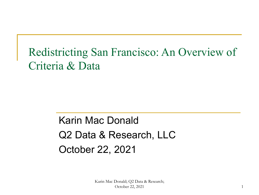### Redistricting San Francisco: An Overview of Criteria & Data

### Karin Mac Donald Q2 Data & Research, LLC October 22, 2021

Karin Mac Donald; Q2 Data & Research; October 22, 2021 1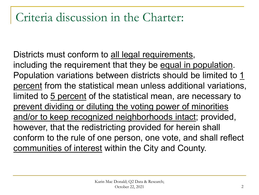### Criteria discussion in the Charter:

Districts must conform to all legal requirements, including the requirement that they be equal in population. Population variations between districts should be limited to 1 percent from the statistical mean unless additional variations, limited to 5 percent of the statistical mean, are necessary to prevent dividing or diluting the voting power of minorities and/or to keep recognized neighborhoods intact; provided, however, that the redistricting provided for herein shall conform to the rule of one person, one vote, and shall reflect communities of interest within the City and County.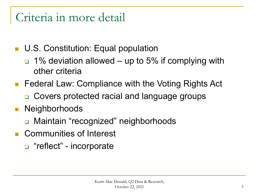### Criteria in more detail

- **U.S. Constitution: Equal population** 
	- $\Box$  1% deviation allowed up to 5% if complying with other criteria
- Federal Law: Compliance with the Voting Rights Act
	- □ Covers protected racial and language groups
- **Neighborhoods** 
	- □ Maintain "recognized" neighborhoods
- Communities of Interest
	- □ "reflect" incorporate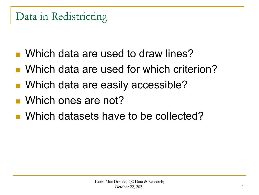#### Data in Redistricting

- Which data are used to draw lines?
- Which data are used for which criterion?
- Which data are easily accessible?
- Which ones are not?
- Which datasets have to be collected?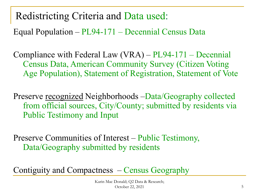Redistricting Criteria and Data used:

Equal Population – PL94-171 – Decennial Census Data

Compliance with Federal Law (VRA) – PL94-171 – Decennial Census Data, American Community Survey (Citizen Voting Age Population), Statement of Registration, Statement of Vote

Preserve recognized Neighborhoods –Data/Geography collected from official sources, City/County; submitted by residents via Public Testimony and Input

Preserve Communities of Interest – Public Testimony, Data/Geography submitted by residents

Contiguity and Compactness – Census Geography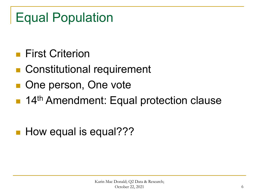## Equal Population

- **First Criterion**
- Constitutional requirement
- One person, One vote
- 14<sup>th</sup> Amendment: Equal protection clause
- **How equal is equal???**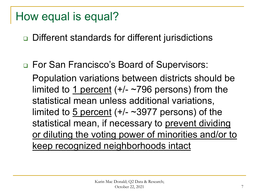#### How equal is equal?

**□** Different standards for different jurisdictions

□ For San Francisco's Board of Supervisors:

Population variations between districts should be limited to 1 percent  $(+/- 796$  persons) from the statistical mean unless additional variations, limited to  $\frac{5 \text{ percent}}{4}$  (+/- ~3977 persons) of the statistical mean, if necessary to prevent dividing or diluting the voting power of minorities and/or to keep recognized neighborhoods intact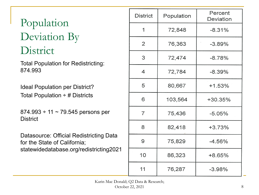### Population Deviation By District

Total Population for Redistricting: 874.993

Ideal Population per District? Total Population  $\div \#$  Districts

874.993 ÷ 11 ~ 79.545 persons per **District** 

Datasource: Official Redistricting Data for the State of California; statewidedatabase.org/redistricting2021

| <b>District</b> | Population | Percent<br>Deviation |
|-----------------|------------|----------------------|
| 1               | 72,848     | $-8.31%$             |
| 2               | 76,363     | $-3.89%$             |
| 3               | 72,474     | $-8.78%$             |
| 4               | 72,784     | $-8.39%$             |
| 5               | 80,667     | $+1.53%$             |
| 6               | 103,564    | +30.35%              |
| $\overline{7}$  | 75,436     | $-5.05%$             |
| 8               | 82,418     | +3.73%               |
| 9               | 75,829     | $-4.56%$             |
| 10              | 86,323     | +8.65%               |
| 11              | 76,287     | $-3.98%$             |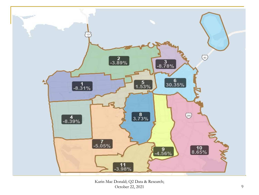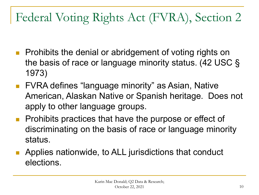### Federal Voting Rights Act (FVRA), Section 2

- **Prohibits the denial or abridgement of voting rights on** the basis of race or language minority status. (42 USC § 1973)
- **FVRA defines "language minority" as Asian, Native** American, Alaskan Native or Spanish heritage. Does not apply to other language groups.
- Prohibits practices that have the purpose or effect of discriminating on the basis of race or language minority status.
- **Applies nationwide, to ALL jurisdictions that conduct** elections.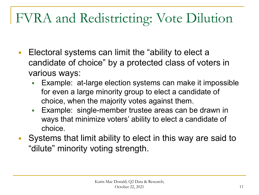# FVRA and Redistricting: Vote Dilution

- Electoral systems can limit the "ability to elect a candidate of choice" by a protected class of voters in various ways:
	- Example: at-large election systems can make it impossible for even a large minority group to elect a candidate of choice, when the majority votes against them.
	- Example: single-member trustee areas can be drawn in ways that minimize voters' ability to elect a candidate of choice.
- Systems that limit ability to elect in this way are said to "dilute" minority voting strength.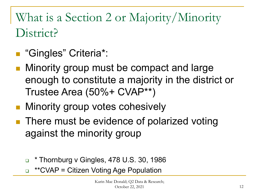## What is a Section 2 or Majority/Minority District?

- "Gingles" Criteria\*:
- Minority group must be compact and large enough to constitute a majority in the district or Trustee Area (50%+ CVAP\*\*)
- **Ninority group votes cohesively**
- There must be evidence of polarized voting against the minority group
	- $\text{I}$  \* Thornburg v Gingles, 478 U.S. 30, 1986
	- □ \*\*CVAP = Citizen Voting Age Population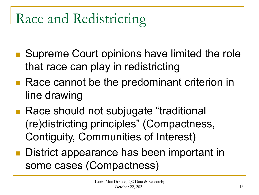# Race and Redistricting

- Supreme Court opinions have limited the role that race can play in redistricting
- Race cannot be the predominant criterion in line drawing
- Race should not subjugate "traditional (re)districting principles" (Compactness, Contiguity, Communities of Interest)
- District appearance has been important in some cases (Compactness)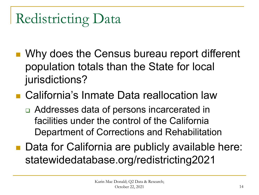Redistricting Data

- Why does the Census bureau report different population totals than the State for local jurisdictions?
- California's Inmate Data reallocation law
	- □ Addresses data of persons incarcerated in facilities under the control of the California Department of Corrections and Rehabilitation
- Data for California are publicly available here: statewidedatabase.org/redistricting2021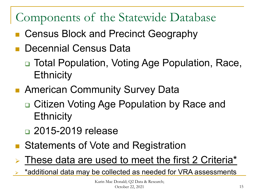### Components of the Statewide Database

- Census Block and Precinct Geography
- Decennial Census Data
	- Total Population, Voting Age Population, Race, **Ethnicity**
- **American Community Survey Data** 
	- Citizen Voting Age Population by Race and **Ethnicity**
	- □ 2015-2019 release
- Statements of Vote and Registration
- These data are used to meet the first 2 Criteria\*

\*additional data may be collected as needed for VRA assessments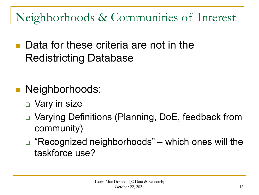Neighborhoods & Communities of Interest

- Data for these criteria are not in the Redistricting Database
- Neighborhoods:
	- □ Vary in size
	- **□** Varying Definitions (Planning, DoE, feedback from community)
	- □ "Recognized neighborhoods" which ones will the taskforce use?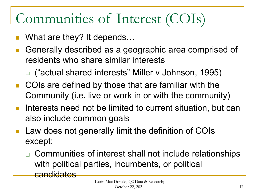# Communities of Interest (COIs)

- What are they? It depends…
- Generally described as a geographic area comprised of residents who share similar interests
	- ("actual shared interests" Miller v Johnson, 1995)
- COIs are defined by those that are familiar with the Community (i.e. live or work in or with the community)
- **Interests need not be limited to current situation, but can** also include common goals
- Law does not generally limit the definition of COIs except:
	- □ Communities of interest shall not include relationships with political parties, incumbents, or political candidates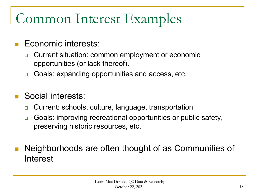# Common Interest Examples

#### Economic interests:

- Current situation: common employment or economic opportunities (or lack thereof).
- □ Goals: expanding opportunities and access, etc.

#### Social interests:

- □ Current: schools, culture, language, transportation
- □ Goals: improving recreational opportunities or public safety, preserving historic resources, etc.
- Neighborhoods are often thought of as Communities of Interest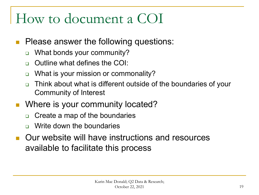# How to document a COI

- **Please answer the following questions:** 
	- □ What bonds your community?
	- □ Outline what defines the COI:
	- □ What is your mission or commonality?
	- □ Think about what is different outside of the boundaries of your Community of Interest
- Where is your community located?
	- □ Create a map of the boundaries
	- Write down the boundaries
- Our website will have instructions and resources available to facilitate this process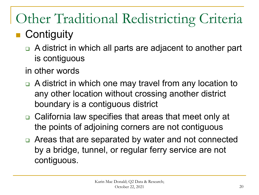# Other Traditional Redistricting Criteria

### **Contiguity**

- A district in which all parts are adjacent to another part is contiguous
- in other words
- □ A district in which one may travel from any location to any other location without crossing another district boundary is a contiguous district
- □ California law specifies that areas that meet only at the points of adjoining corners are not contiguous
- Areas that are separated by water and not connected by a bridge, tunnel, or regular ferry service are not contiguous.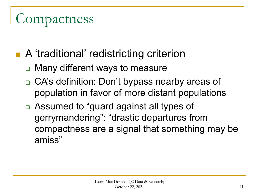# Compactness

- A 'traditional' redistricting criterion
	- Many different ways to measure
	- □ CA's definition: Don't bypass nearby areas of population in favor of more distant populations
	- Assumed to "guard against all types of gerrymandering": "drastic departures from compactness are a signal that something may be amiss"